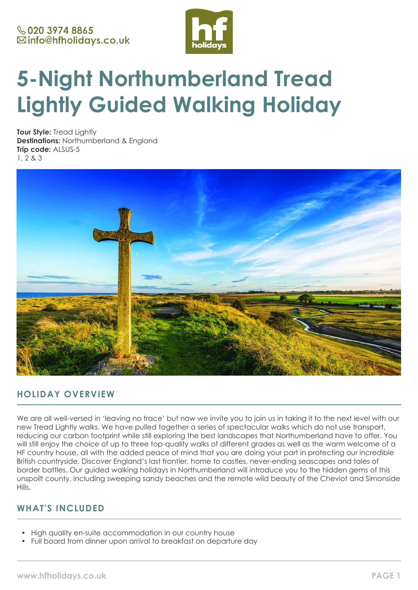

# **5-Night Northumberland Tread Lightly Guided Walking Holiday**

**Tour Style:** Tread Lightly **Destinations:** Northumberland & England **Trip code:** ALSUS-5 1, 2 & 3



# **HOLIDAY OVERVIEW**

We are all well-versed in 'leaving no trace' but now we invite you to join us in taking it to the next level with our new Tread Lightly walks. We have pulled together a series of spectacular walks which do not use transport, reducing our carbon footprint while still exploring the best landscapes that Northumberland have to offer. You will still enjoy the choice of up to three top-quality walks of different grades as well as the warm welcome of a HF country house, all with the added peace of mind that you are doing your part in protecting our incredible British countryside. Discover England's last frontier, home to castles, never-ending seascapes and tales of border battles. Our guided walking holidays in Northumberland will introduce you to the hidden gems of this unspoilt county, including sweeping sandy beaches and the remote wild beauty of the Cheviot and Simonside **Hills** 

# **WHAT'S INCLUDED**

- High quality en-suite accommodation in our country house
- Full board from dinner upon arrival to breakfast on departure day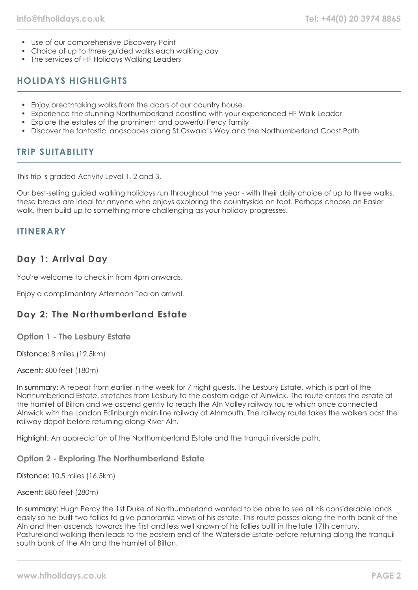- Use of our comprehensive Discovery Point
- Choice of up to three guided walks each walking day
- The services of HF Holidays Walking Leaders

# **HOLIDAYS HIGHLIGHTS**

- Enjoy breathtaking walks from the doors of our country house
- Experience the stunning Northumberland coastline with your experienced HF Walk Leader
- Explore the estates of the prominent and powerful Percy family
- Discover the fantastic landscapes along St Oswald's Way and the Northumberland Coast Path

## **TRIP SUITABILITY**

This trip is graded Activity Level 1, 2 and 3.

Our best-selling guided walking holidays run throughout the year - with their daily choice of up to three walks, these breaks are ideal for anyone who enjoys exploring the countryside on foot. Perhaps choose an Easier walk, then build up to something more challenging as your holiday progresses.

## **ITINERARY**

## **Day 1: Arrival Day**

You're welcome to check in from 4pm onwards.

Enjoy a complimentary Afternoon Tea on arrival.

# **Day 2: The Northumberland Estate**

**Option 1 - The Lesbury Estate**

Distance: 8 miles (12.5km)

Ascent: 600 feet (180m)

In summary: A repeat from earlier in the week for 7 night guests. The Lesbury Estate, which is part of the Northumberland Estate, stretches from Lesbury to the eastern edge of Alnwick. The route enters the estate at the hamlet of Bilton and we ascend gently to reach the Aln Valley railway route which once connected Alnwick with the London Edinburgh main line railway at Alnmouth. The railway route takes the walkers past the railway depot before returning along River Aln.

Highlight: An appreciation of the Northumberland Estate and the tranquil riverside path.

**Option 2 - Exploring The Northumberland Estate**

Distance: 10.5 miles (16.5km)

Ascent: 880 feet (280m)

In summary: Hugh Percy the 1st Duke of Northumberland wanted to be able to see all his considerable lands easily so he built two follies to give panoramic views of his estate. This route passes along the north bank of the Aln and then ascends towards the first and less well known of his follies built in the late 17th century. Pastureland walking then leads to the eastern end of the Waterside Estate before returning along the tranquil south bank of the Aln and the hamlet of Bilton.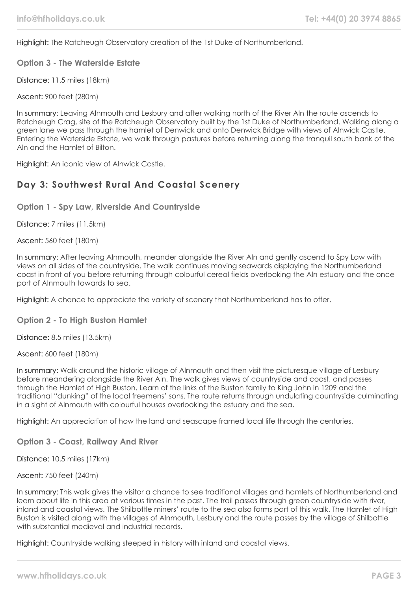Highlight: The Ratcheugh Observatory creation of the 1st Duke of Northumberland.

**Option 3 - The Waterside Estate**

Distance: 11.5 miles (18km)

Ascent: 900 feet (280m)

In summary: Leaving Alnmouth and Lesbury and after walking north of the River Aln the route ascends to Ratcheugh Crag, site of the Ratcheugh Observatory built by the 1st Duke of Northumberland. Walking along a green lane we pass through the hamlet of Denwick and onto Denwick Bridge with views of Alnwick Castle. Entering the Waterside Estate, we walk through pastures before returning along the tranquil south bank of the Aln and the Hamlet of Bilton.

Highlight: An iconic view of Alnwick Castle.

## **Day 3: Southwest Rural And Coastal Scenery**

**Option 1 - Spy Law, Riverside And Countryside**

Distance: 7 miles (11.5km)

Ascent: 560 feet (180m)

In summary: After leaving Alnmouth, meander alongside the River Aln and gently ascend to Spy Law with views on all sides of the countryside. The walk continues moving seawards displaying the Northumberland coast in front of you before returning through colourful cereal fields overlooking the Aln estuary and the once port of Alnmouth towards to sea.

Highlight: A chance to appreciate the variety of scenery that Northumberland has to offer.

### **Option 2 - To High Buston Hamlet**

Distance: 8.5 miles (13.5km)

Ascent: 600 feet (180m)

In summary: Walk around the historic village of Alnmouth and then visit the picturesque village of Lesbury before meandering alongside the River Aln. The walk gives views of countryside and coast, and passes through the Hamlet of High Buston. Learn of the links of the Buston family to King John in 1209 and the traditional "dunking" of the local freemens' sons. The route returns through undulating countryside culminating in a sight of Alnmouth with colourful houses overlooking the estuary and the sea.

Highlight: An appreciation of how the land and seascape framed local life through the centuries.

**Option 3 - Coast, Railway And River**

Distance: 10.5 miles (17km)

Ascent: 750 feet (240m)

In summary: This walk gives the visitor a chance to see traditional villages and hamlets of Northumberland and learn about life in this area at various times in the past. The trail passes through green countryside with river, inland and coastal views. The Shilbottle miners' route to the sea also forms part of this walk. The Hamlet of High Buston is visited along with the villages of Alnmouth, Lesbury and the route passes by the village of Shilbottle with substantial medieval and industrial records.

Highlight: Countryside walking steeped in history with inland and coastal views.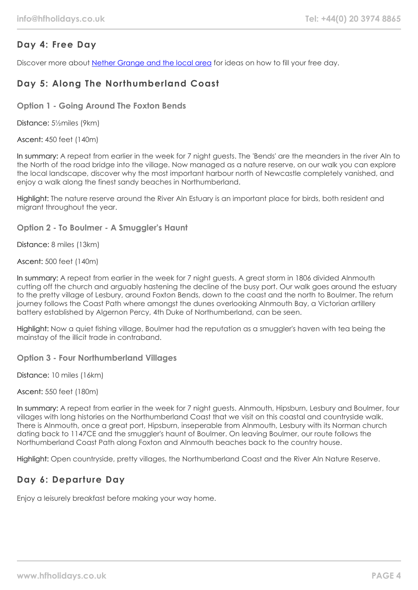# **Day 4: Free Day**

Discover more about [Nether Grange and the local area](https://www.hfholidays.co.uk/country-houses/locations/alnmouth-northumberland) for ideas on how to fill your free day.

# **Day 5: Along The Northumberland Coast**

**Option 1 - Going Around The Foxton Bends**

Distance: 5½miles (9km)

Ascent: 450 feet (140m)

In summary: A repeat from earlier in the week for 7 night guests. The 'Bends' are the meanders in the river Aln to the North of the road bridge into the village. Now managed as a nature reserve, on our walk you can explore the local landscape, discover why the most important harbour north of Newcastle completely vanished, and enjoy a walk along the finest sandy beaches in Northumberland.

Highlight: The nature reserve around the River Aln Estuary is an important place for birds, both resident and migrant throughout the year.

**Option 2 - To Boulmer - A Smuggler's Haunt**

Distance: 8 miles (13km)

Ascent: 500 feet (140m)

In summary: A repeat from earlier in the week for 7 night guests. A great storm in 1806 divided Alnmouth cutting off the church and arguably hastening the decline of the busy port. Our walk goes around the estuary to the pretty village of Lesbury, around Foxton Bends, down to the coast and the north to Boulmer. The return journey follows the Coast Path where amongst the dunes overlooking Alnmouth Bay, a Victorian artillery battery established by Algernon Percy, 4th Duke of Northumberland, can be seen.

Highlight: Now a quiet fishing village, Boulmer had the reputation as a smuggler's haven with tea being the mainstay of the illicit trade in contraband.

**Option 3 - Four Northumberland Villages**

Distance: 10 miles (16km)

Ascent: 550 feet (180m)

In summary: A repeat from earlier in the week for 7 night guests. Alnmouth, Hipsburn, Lesbury and Boulmer, four villages with long histories on the Northumberland Coast that we visit on this coastal and countryside walk. There is Alnmouth, once a great port, Hipsburn, inseperable from Alnmouth, Lesbury with its Norman church dating back to 1147CE and the smuggler's haunt of Boulmer. On leaving Boulmer, our route follows the Northumberland Coast Path along Foxton and Alnmouth beaches back to the country house.

Highlight: Open countryside, pretty villages, the Northumberland Coast and the River Aln Nature Reserve.

# **Day 6: Departure Day**

Enjoy a leisurely breakfast before making your way home.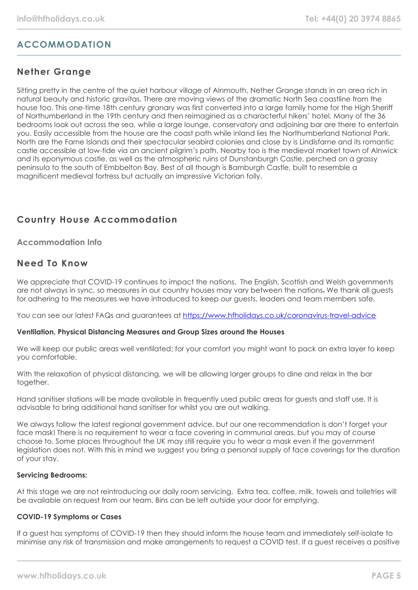# **ACCOMMODATION**

# **Nether Grange**

Sitting pretty in the centre of the quiet harbour village of Alnmouth, Nether Grange stands in an area rich in natural beauty and historic gravitas. There are moving views of the dramatic North Sea coastline from the house too. This one-time 18th century granary was first converted into a large family home for the High Sheriff of Northumberland in the 19th century and then reimagined as a characterful hikers' hotel. Many of the 36 bedrooms look out across the sea, while a large lounge, conservatory and adjoining bar are there to entertain you. Easily accessible from the house are the coast path while inland lies the Northumberland National Park. North are the Farne Islands and their spectacular seabird colonies and close by is Lindisfarne and its romantic castle accessible at low-tide via an ancient pilgrim's path. Nearby too is the medieval market town of Alnwick and its eponymous castle, as well as the atmospheric ruins of Dunstanburgh Castle, perched on a grassy peninsula to the south of Embbelton Bay. Best of all though is Bamburgh Castle, built to resemble a magnificent medieval fortress but actually an impressive Victorian folly.

# **Country House Accommodation**

**Accommodation Info**

# **Need To Know**

We appreciate that COVID-19 continues to impact the nations. The English, Scottish and Welsh governments are not always in sync, so measures in our country houses may vary between the nations. We thank all guests for adhering to the measures we have introduced to keep our guests, leaders and team members safe.

You can see our latest FAQs and guarantees at <https://www.hfholidays.co.uk/coronavirus-travel-advice>

## **Ventilation, Physical Distancing Measures and Group Sizes around the Houses**

We will keep our public areas well ventilated; for your comfort you might want to pack an extra layer to keep you comfortable.

With the relaxation of physical distancing, we will be allowing larger groups to dine and relax in the bar together.

Hand sanitiser stations will be made available in frequently used public areas for guests and staff use. It is advisable to bring additional hand sanitiser for whilst you are out walking.

We always follow the latest regional government advice, but our one recommendation is don't forget your face mask! There is no requirement to wear a face covering in communal areas, but you may of course choose to. Some places throughout the UK may still require you to wear a mask even if the government legislation does not. With this in mind we suggest you bring a personal supply of face coverings for the duration of your stay.

## **Servicing Bedrooms:**

At this stage we are not reintroducing our daily room servicing. Extra tea, coffee, milk, towels and toiletries will be available on request from our team. Bins can be left outside your door for emptying.

## **COVID-19 Symptoms or Cases**

If a guest has symptoms of COVID-19 then they should inform the house team and immediately self-isolate to minimise any risk of transmission and make arrangements to request a COVID test. If a guest receives a positive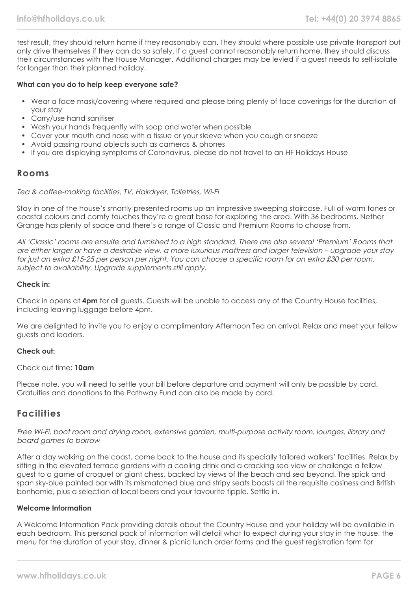test result, they should return home if they reasonably can. They should where possible use private transport but only drive themselves if they can do so safely. If a guest cannot reasonably return home, they should discuss their circumstances with the House Manager. Additional charges may be levied if a guest needs to self-isolate for longer than their planned holiday.

## **What can you do to help keep everyone safe?**

- Wear a face mask/covering where required and please bring plenty of face coverings for the duration of your stay
- Carry/use hand sanitiser
- Wash your hands frequently with soap and water when possible
- Cover your mouth and nose with a tissue or your sleeve when you cough or sneeze
- Avoid passing round objects such as cameras & phones
- If you are displaying symptoms of Coronavirus, please do not travel to an HF Holidays House

## **Rooms**

### Tea & coffee-making facilities, TV, Hairdryer, Toiletries, Wi-Fi

Stay in one of the house's smartly presented rooms up an impressive sweeping staircase. Full of warm tones or coastal colours and comfy touches they're a great base for exploring the area. With 36 bedrooms, Nether Grange has plenty of space and there's a range of Classic and Premium Rooms to choose from.

All 'Classic' rooms are ensuite and furnished to a high standard. There are also several 'Premium' Rooms that are either larger or have a desirable view, a more luxurious mattress and larger television – upgrade your stay for just an extra £15-25 per person per night. You can choose a specific room for an extra £30 per room, subject to availability. Upgrade supplements still apply.

### **Check in:**

Check in opens at **4pm** for all guests. Guests will be unable to access any of the Country House facilities, including leaving luggage before 4pm.

We are delighted to invite you to enjoy a complimentary Afternoon Tea on arrival. Relax and meet your fellow guests and leaders.

### **Check out:**

## Check out time: **10am**

Please note, you will need to settle your bill before departure and payment will only be possible by card. Gratuities and donations to the Pathway Fund can also be made by card.

## **Facilities**

Free Wi-Fi, boot room and drying room, extensive garden, multi-purpose activity room, lounges, library and board games to borrow

After a day walking on the coast, come back to the house and its specially tailored walkers' facilities. Relax by sitting in the elevated terrace gardens with a cooling drink and a cracking sea view or challenge a fellow guest to a game of croquet or giant chess, backed by views of the beach and sea beyond. The spick and span sky-blue painted bar with its mismatched blue and stripy seats boasts all the requisite cosiness and British bonhomie, plus a selection of local beers and your favourite tipple. Settle in.

### **Welcome Information**

A Welcome Information Pack providing details about the Country House and your holiday will be available in each bedroom. This personal pack of information will detail what to expect during your stay in the house, the menu for the duration of your stay, dinner & picnic lunch order forms and the guest registration form for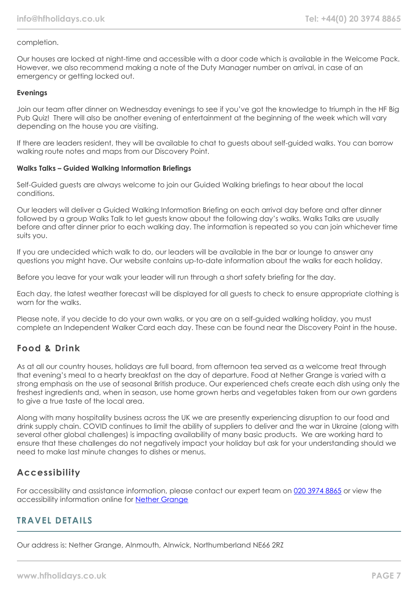## completion.

Our houses are locked at night-time and accessible with a door code which is available in the Welcome Pack. However, we also recommend making a note of the Duty Manager number on arrival, in case of an emergency or getting locked out.

## **Evenings**

Join our team after dinner on Wednesday evenings to see if you've got the knowledge to triumph in the HF Big Pub Quiz! There will also be another evening of entertainment at the beginning of the week which will vary depending on the house you are visiting.

If there are leaders resident, they will be available to chat to guests about self-guided walks. You can borrow walking route notes and maps from our Discovery Point.

### **Walks Talks – Guided Walking Information Briefings**

Self-Guided guests are always welcome to join our Guided Walking briefings to hear about the local conditions.

Our leaders will deliver a Guided Walking Information Briefing on each arrival day before and after dinner followed by a group Walks Talk to let guests know about the following day's walks. Walks Talks are usually before and after dinner prior to each walking day. The information is repeated so you can join whichever time suits you.

If you are undecided which walk to do, our leaders will be available in the bar or lounge to answer any questions you might have. Our website contains up-to-date information about the walks for each holiday.

Before you leave for your walk your leader will run through a short safety briefing for the day.

Each day, the latest weather forecast will be displayed for all guests to check to ensure appropriate clothing is worn for the walks.

Please note, if you decide to do your own walks, or you are on a self-guided walking holiday, you must complete an Independent Walker Card each day. These can be found near the Discovery Point in the house.

# **Food & Drink**

As at all our country houses, holidays are full board, from afternoon tea served as a welcome treat through that evening's meal to a hearty breakfast on the day of departure. Food at Nether Grange is varied with a strong emphasis on the use of seasonal British produce. Our experienced chefs create each dish using only the freshest ingredients and, when in season, use home grown herbs and vegetables taken from our own gardens to give a true taste of the local area.

Along with many hospitality business across the UK we are presently experiencing disruption to our food and drink supply chain. COVID continues to limit the ability of suppliers to deliver and the war in Ukraine (along with several other global challenges) is impacting availability of many basic products. We are working hard to ensure that these challenges do not negatively impact your holiday but ask for your understanding should we need to make last minute changes to dishes or menus.

# **Accessibility**

For accessibility and assistance information, please contact our expert team on [020 3974 8865](tel:02039748865) or view the accessibility information online for [Nether Grange](https://www.hfholidays.co.uk/images/Documents/accessibility_statements/Nether_Grange_-_accessibility_information_-_update_Feb_2021.pdf)

# **TRAVEL DETAILS**

Our address is: Nether Grange, Alnmouth, Alnwick, Northumberland NE66 2RZ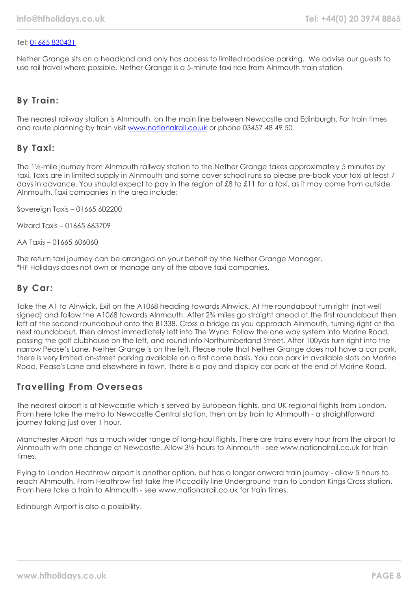## Tel: [01665 830431](tel:01665830431)

Nether Grange sits on a headland and only has access to limited roadside parking. We advise our guests to use rail travel where possible. Nether Grange is a 5-minute taxi ride from Alnmouth train station

# **By Train:**

The nearest railway station is Alnmouth, on the main line between Newcastle and Edinburgh. For train times and route planning by train visit [www.nationalrail.co.uk](http://www.nationalrail.co.uk/) or phone 03457 48 49 50

## **By Taxi:**

The 1½-mile journey from Alnmouth railway station to the Nether Grange takes approximately 5 minutes by taxi. Taxis are in limited supply in Alnmouth and some cover school runs so please pre-book your taxi at least 7 days in advance. You should expect to pay in the region of £8 to £11 for a taxi, as it may come from outside Alnmouth. Taxi companies in the area include:

Sovereign Taxis – 01665 602200

Wizard Taxis – 01665 663709

AA Taxis – 01665 606060

The return taxi journey can be arranged on your behalf by the Nether Grange Manager. \*HF Holidays does not own or manage any of the above taxi companies.

# **By Car:**

Take the A1 to Alnwick. Exit on the A1068 heading towards Alnwick. At the roundabout turn right (not well signed) and follow the A1068 towards Alnmouth. After  $2\frac{3}{4}$  miles go straight ahead at the first roundabout then left at the second roundabout onto the B1338. Cross a bridge as you approach Alnmouth, turning right at the next roundabout, then almost immediately left into The Wynd. Follow the one way system into Marine Road, passing the golf clubhouse on the left, and round into Northumberland Street. After 100yds turn right into the narrow Pease's Lane. Nether Grange is on the left. Please note that Nether Grange does not have a car park, there is very limited on-street parking available on a first come basis. You can park in available slots on Marine Road, Pease's Lane and elsewhere in town. There is a pay and display car park at the end of Marine Road.

## **Travelling From Overseas**

The nearest airport is at Newcastle which is served by European flights, and UK regional flights from London. From here take the metro to Newcastle Central station, then on by train to Alnmouth - a straightforward journey taking just over 1 hour.

Manchester Airport has a much wider range of long-haul flights. There are trains every hour from the airport to Alnmouth with one change at Newcastle. Allow 3½ hours to Alnmouth - see www.nationalrail.co.uk for train times.

Flying to London Heathrow airport is another option, but has a longer onward train journey - allow 5 hours to reach Alnmouth. From Heathrow first take the Piccadilly line Underground train to London Kings Cross station. From here take a train to Alnmouth - see www.nationalrail.co.uk for train times.

Edinburgh Airport is also a possibility.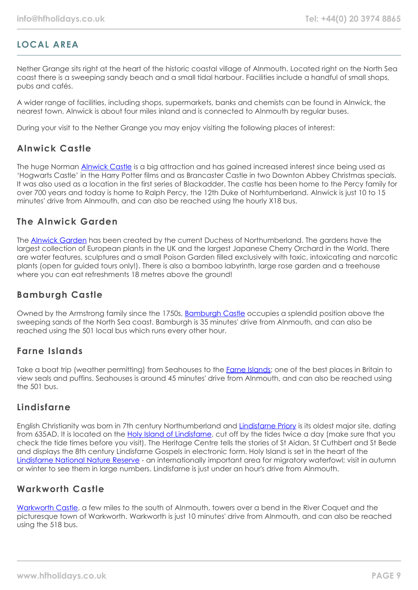# **LOCAL AREA**

Nether Grange sits right at the heart of the historic coastal village of Alnmouth. Located right on the North Sea coast there is a sweeping sandy beach and a small tidal harbour. Facilities include a handful of small shops, pubs and cafés.

A wider range of facilities, including shops, supermarkets, banks and chemists can be found in Alnwick, the nearest town. Alnwick is about four miles inland and is connected to Alnmouth by regular buses.

During your visit to the Nether Grange you may enjoy visiting the following places of interest:

# **Alnwick Castle**

The huge Norman [Alnwick Castle](https://www.alnwickcastle.com/) is a big attraction and has gained increased interest since being used as 'Hogwarts Castle' in the Harry Potter films and as Brancaster Castle in two Downton Abbey Christmas specials. It was also used as a location in the first series of Blackadder. The castle has been home to the Percy family for over 700 years and today is home to Ralph Percy, the 12th Duke of Norhtumberland. Alnwick is just 10 to 15 minutes' drive from Alnmouth, and can also be reached using the hourly X18 bus.

# **The Alnwick Garden**

The [Alnwick Garden](https://www.alnwickgarden.com/) has been created by the current Duchess of Northumberland. The gardens have the largest collection of European plants in the UK and the largest Japanese Cherry Orchard in the World. There are water features, sculptures and a small Poison Garden filled exclusively with toxic, intoxicating and narcotic plants (open for guided tours only!). There is also a bamboo labyrinth, large rose garden and a treehouse where you can eat refreshments 18 metres above the ground!

# **Bamburgh Castle**

Owned by the Armstrong family since the 1750s, **[Bamburgh Castle](https://www.bamburghcastle.com/)** occupies a splendid position above the sweeping sands of the North Sea coast. Bamburgh is 35 minutes' drive from Alnmouth, and can also be reached using the 501 local bus which runs every other hour.

# **Farne Islands**

Take a boat trip (weather permitting) from Seahouses to the [Farne Islands;](https://www.farne-islands.com/) one of the best places in Britain to view seals and puffins. Seahouses is around 45 minutes' drive from Alnmouth, and can also be reached using the 501 bus.

## **Lindisfarne**

English Christianity was born in 7th century Northumberland and [Lindisfarne Priory](https://www.english-heritage.org.uk/visit/places/lindisfarne-priory/History/) is its oldest major site, dating from 635AD. It is located on the [Holy Island of Lindisfarne,](https://www.visitnorthumberland.com/holy-island) cut off by the tides twice a day (make sure that you check the tide times before you visit). The Heritage Centre tells the stories of St Aidan, St Cuthbert and St Bede and displays the 8th century Lindisfarne Gospels in electronic form. Holy Island is set in the heart of the [Lindisfarne National Nature Reserve](https://www.lindisfarne.org.uk/general/pdf/NNRLindisfarneLeaflet.pdf) - an internationally important area for migratory waterfowl; visit in autumn or winter to see them in large numbers. Lindisfarne is just under an hour's drive from Alnmouth.

# **Warkworth Castle**

[Warkworth Castle](https://www.english-heritage.org.uk/visit/places/warkworth-castle-and-hermitage/), a few miles to the south of Alnmouth, towers over a bend in the River Coquet and the picturesque town of Warkworth. Warkworth is just 10 minutes' drive from Alnmouth, and can also be reached using the 518 bus.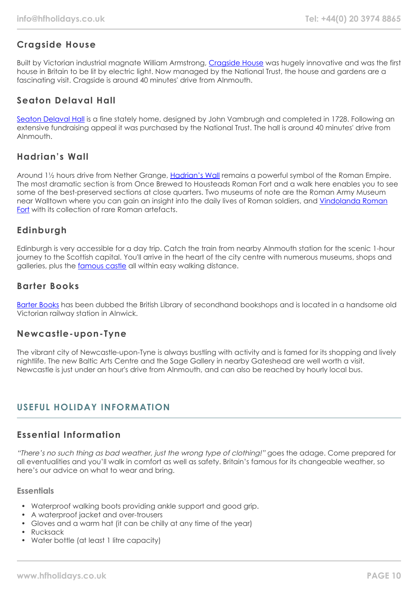# **Cragside House**

Built by Victorian industrial magnate William Armstrong, [Cragside House](https://www.nationaltrust.org.uk/cragside) was hugely innovative and was the first house in Britain to be lit by electric light. Now managed by the National Trust, the house and gardens are a fascinating visit. Cragside is around 40 minutes' drive from Alnmouth.

# **Seaton Delaval Hall**

[Seaton Delaval Hall](https://www.nationaltrust.org.uk/seaton-delaval-hall) is a fine stately home, designed by John Vambrugh and completed in 1728. Following an extensive fundraising appeal it was purchased by the National Trust. The hall is around 40 minutes' drive from Alnmouth.

# **Hadrian's Wall**

Around 1½ hours drive from Nether Grange, [Hadrian's Wall](https://www.visithadrianswall.co.uk/) remains a powerful symbol of the Roman Empire. The most dramatic section is from Once Brewed to Housteads Roman Fort and a walk here enables you to see some of the best-preserved sections at close quarters. Two museums of note are the Roman Army Museum near Walltown where you can gain an insight into the daily lives of Roman soldiers, and [Vindolanda Roman](https://www.vindolanda.com/) [Fort](https://www.vindolanda.com/) with its collection of rare Roman artefacts.

# **Edinburgh**

Edinburgh is very accessible for a day trip. Catch the train from nearby Alnmouth station for the scenic 1-hour journey to the Scottish capital. You'll arrive in the heart of the city centre with numerous museums, shops and galleries, plus the [famous castle](https://www.edinburghcastle.scot/) all within easy walking distance.

## **Barter Books**

[Barter Books](https://www.barterbooks.co.uk/) has been dubbed the British Library of secondhand bookshops and is located in a handsome old Victorian railway station in Alnwick.

## **Newcastle-upon-Tyne**

The vibrant city of Newcastle-upon-Tyne is always bustling with activity and is famed for its shopping and lively nightlife. The new Baltic Arts Centre and the Sage Gallery in nearby Gateshead are well worth a visit. Newcastle is just under an hour's drive from Alnmouth, and can also be reached by hourly local bus.

# **USEFUL HOLIDAY INFORMATION**

# **Essential Information**

"There's no such thing as bad weather, just the wrong type of clothing!" goes the adage. Come prepared for all eventualities and you'll walk in comfort as well as safety. Britain's famous for its changeable weather, so here's our advice on what to wear and bring.

## **Essentials**

- Waterproof walking boots providing ankle support and good grip.
- A waterproof jacket and over-trousers
- Gloves and a warm hat (it can be chilly at any time of the year)
- Rucksack
- Water bottle (at least 1 litre capacity)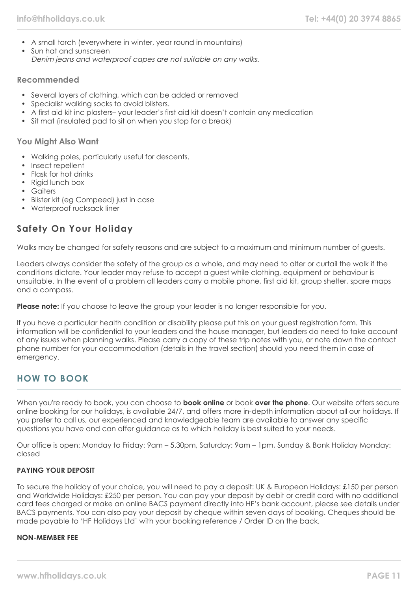- A small torch (everywhere in winter, year round in mountains)
- Sun hat and sunscreen Denim jeans and waterproof capes are not suitable on any walks.

## **Recommended**

- Several layers of clothing, which can be added or removed
- Specialist walking socks to avoid blisters.
- A first aid kit inc plasters– your leader's first aid kit doesn't contain any medication
- Sit mat (insulated pad to sit on when you stop for a break)

## **You Might Also Want**

- Walking poles, particularly useful for descents.
- Insect repellent
- Flask for hot drinks
- Rigid lunch box
- Gaiters
- Blister kit (eg Compeed) just in case
- Waterproof rucksack liner

# **Safety On Your Holiday**

Walks may be changed for safety reasons and are subject to a maximum and minimum number of guests.

Leaders always consider the safety of the group as a whole, and may need to alter or curtail the walk if the conditions dictate. Your leader may refuse to accept a guest while clothing, equipment or behaviour is unsuitable. In the event of a problem all leaders carry a mobile phone, first aid kit, group shelter, spare maps and a compass.

**Please note:** If you choose to leave the group your leader is no longer responsible for you.

If you have a particular health condition or disability please put this on your guest registration form. This information will be confidential to your leaders and the house manager, but leaders do need to take account of any issues when planning walks. Please carry a copy of these trip notes with you, or note down the contact phone number for your accommodation (details in the travel section) should you need them in case of emergency.

# **HOW TO BOOK**

When you're ready to book, you can choose to **book online** or book **over the phone**. Our website offers secure online booking for our holidays, is available 24/7, and offers more in-depth information about all our holidays. If you prefer to call us, our experienced and knowledgeable team are available to answer any specific questions you have and can offer guidance as to which holiday is best suited to your needs.

Our office is open: Monday to Friday: 9am – 5.30pm, Saturday: 9am – 1pm, Sunday & Bank Holiday Monday: closed

### **PAYING YOUR DEPOSIT**

To secure the holiday of your choice, you will need to pay a deposit: UK & European Holidays: £150 per person and Worldwide Holidays: £250 per person. You can pay your deposit by debit or credit card with no additional card fees charged or make an online BACS payment directly into HF's bank account, please see details under BACS payments. You can also pay your deposit by cheque within seven days of booking. Cheques should be made payable to 'HF Holidays Ltd' with your booking reference / Order ID on the back.

### **NON-MEMBER FEE**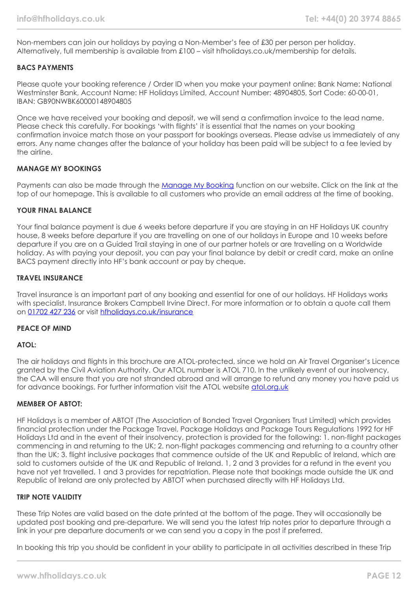Non-members can join our holidays by paying a Non-Member's fee of £30 per person per holiday. Alternatively, full membership is available from £100 – visit hfholidays.co.uk/membership for details.

## **BACS PAYMENTS**

Please quote your booking reference / Order ID when you make your payment online: Bank Name: National Westminster Bank, Account Name: HF Holidays Limited, Account Number: 48904805, Sort Code: 60-00-01, IBAN: GB90NWBK60000148904805

Once we have received your booking and deposit, we will send a confirmation invoice to the lead name. Please check this carefully. For bookings 'with flights' it is essential that the names on your booking confirmation invoice match those on your passport for bookings overseas. Please advise us immediately of any errors. Any name changes after the balance of your holiday has been paid will be subject to a fee levied by the airline.

## **MANAGE MY BOOKINGS**

Payments can also be made through the [Manage My Booking](https://www.hfholidays.co.uk/about-us/bookings/my-booking) function on our website. Click on the link at the top of our homepage. This is available to all customers who provide an email address at the time of booking.

## **YOUR FINAL BALANCE**

Your final balance payment is due 6 weeks before departure if you are staying in an HF Holidays UK country house, 8 weeks before departure if you are travelling on one of our holidays in Europe and 10 weeks before departure if you are on a Guided Trail staying in one of our partner hotels or are travelling on a Worldwide holiday. As with paying your deposit, you can pay your final balance by debit or credit card, make an online BACS payment directly into HF's bank account or pay by cheque.

## **TRAVEL INSURANCE**

Travel insurance is an important part of any booking and essential for one of our holidays. HF Holidays works with specialist. Insurance Brokers Campbell Irvine Direct. For more information or to obtain a quote call them on [01702 427 236](tel:01702427236) or visit [hfholidays.co.uk/insurance](https://www.hfholidays.co.uk/about-us/bookings/insurance)

### **PEACE OF MIND**

## **ATOL:**

The air holidays and flights in this brochure are ATOL-protected, since we hold an Air Travel Organiser's Licence granted by the Civil Aviation Authority. Our ATOL number is ATOL 710. In the unlikely event of our insolvency, the CAA will ensure that you are not stranded abroad and will arrange to refund any money you have paid us for advance bookings. For further information visit the ATOL website [atol.org.uk](https://www.atol.org/)

### **MEMBER OF ABTOT:**

HF Holidays is a member of ABTOT (The Association of Bonded Travel Organisers Trust Limited) which provides financial protection under the Package Travel, Package Holidays and Package Tours Regulations 1992 for HF Holidays Ltd and in the event of their insolvency, protection is provided for the following: 1. non-flight packages commencing in and returning to the UK; 2. non-flight packages commencing and returning to a country other than the UK; 3. flight inclusive packages that commence outside of the UK and Republic of Ireland, which are sold to customers outside of the UK and Republic of Ireland. 1, 2 and 3 provides for a refund in the event you have not yet travelled. 1 and 3 provides for repatriation. Please note that bookings made outside the UK and Republic of Ireland are only protected by ABTOT when purchased directly with HF Holidays Ltd.

### **TRIP NOTE VALIDITY**

These Trip Notes are valid based on the date printed at the bottom of the page. They will occasionally be updated post booking and pre-departure. We will send you the latest trip notes prior to departure through a link in your pre departure documents or we can send you a copy in the post if preferred.

In booking this trip you should be confident in your ability to participate in all activities described in these Trip